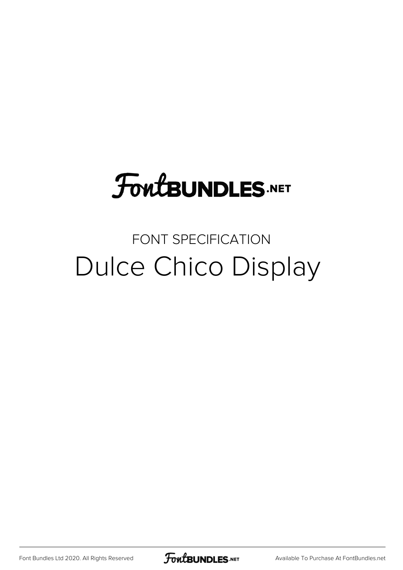## **FoutBUNDLES.NET**

### FONT SPECIFICATION Dulce Chico Display

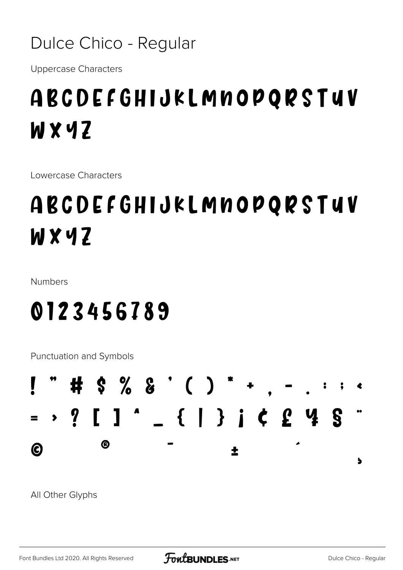#### Dulce Chico - Regular

**Uppercase Characters** 

## ABCDEFGHIJKLMNOPQRSTUV WXYZ

Lowercase Characters

## ABCDEFGHIJKLMNOPQRSTUV WXYZ

**Numbers** 

## 0123456789

Punctuation and Symbols



All Other Glyphs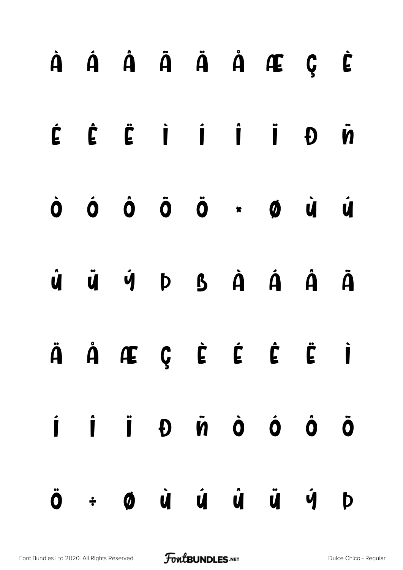|  |  |  | À Á Â Ã Ä Å Æ Ç È                                                                                                                                                                        |  |
|--|--|--|------------------------------------------------------------------------------------------------------------------------------------------------------------------------------------------|--|
|  |  |  | É É Ë İ Í İ İ Đ Ñ                                                                                                                                                                        |  |
|  |  |  | Ò Ó Ő Ö Ö * Ø Ù Ú                                                                                                                                                                        |  |
|  |  |  | $\dot{\mathbf{u}}\quad \ddot{\mathbf{u}}\quad \dot{\mathbf{v}}\quad \mathbf{p}\quad \mathbf{B}\quad \dot{\mathbf{A}}\quad \dot{\mathbf{A}}\quad \dot{\mathbf{A}}\quad \ddot{\mathbf{A}}$ |  |
|  |  |  | ÄÅÆÇÈÉ ĖË İ                                                                                                                                                                              |  |
|  |  |  | I I I D V D O O O                                                                                                                                                                        |  |
|  |  |  | $\ddot{\mathbf{0}}$ $\div$ $\dot{\mathbf{0}}$ $\dot{\mathbf{u}}$ $\dot{\mathbf{u}}$ $\dot{\mathbf{u}}$ $\ddot{\mathbf{u}}$ $\ddot{\mathbf{u}}$ $\dot{\mathbf{v}}$ $\mathbf{0}$           |  |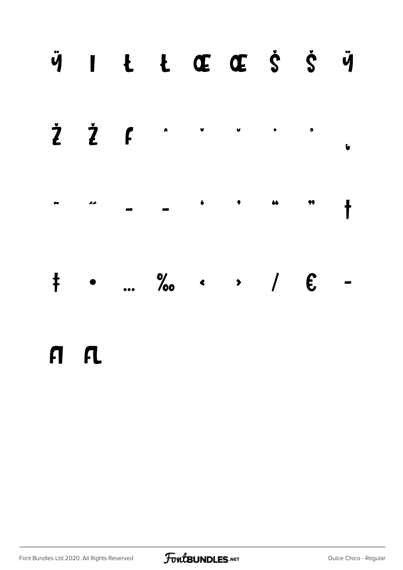

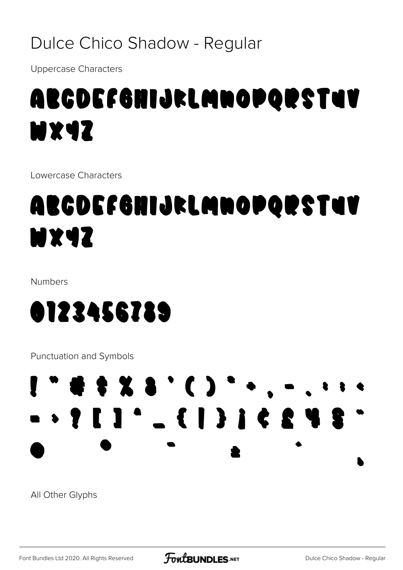#### Dulce Chico Shadow - Regular

**Uppercase Characters** 

## ABCDEFGHIJKLMNOPQRSTUV **MX4Z**

Lowercase Characters

## ABCDEFGHIJKLMNOPQRSTUV **MX4Z**

Numbers



**Punctuation and Symbols** 

## $1.44483.03...$

All Other Glyphs

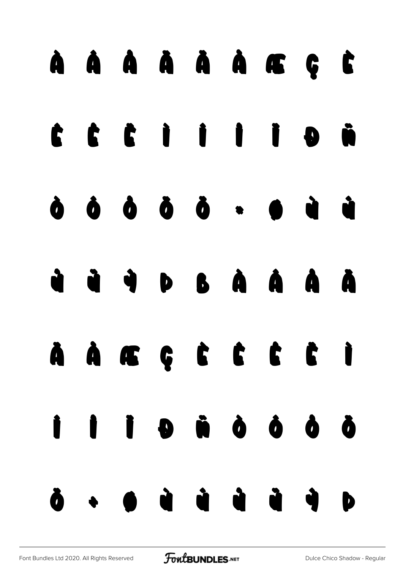# À Á Â Ã Ä Å Æ Ç È  $C$   $C$   $C$   $C$   $C$   $C$   $C$   $C$   $D$   $D$   $D$   $D$ Ò Ó Ô Õ Ö × Ø Ù Ú Û Ü Ý Þ ß à á â ã ä å æ ç è é ê ë ì í î ï ð ñ ò ó ô õ ö ÷ ø ù ú û ü ý þ